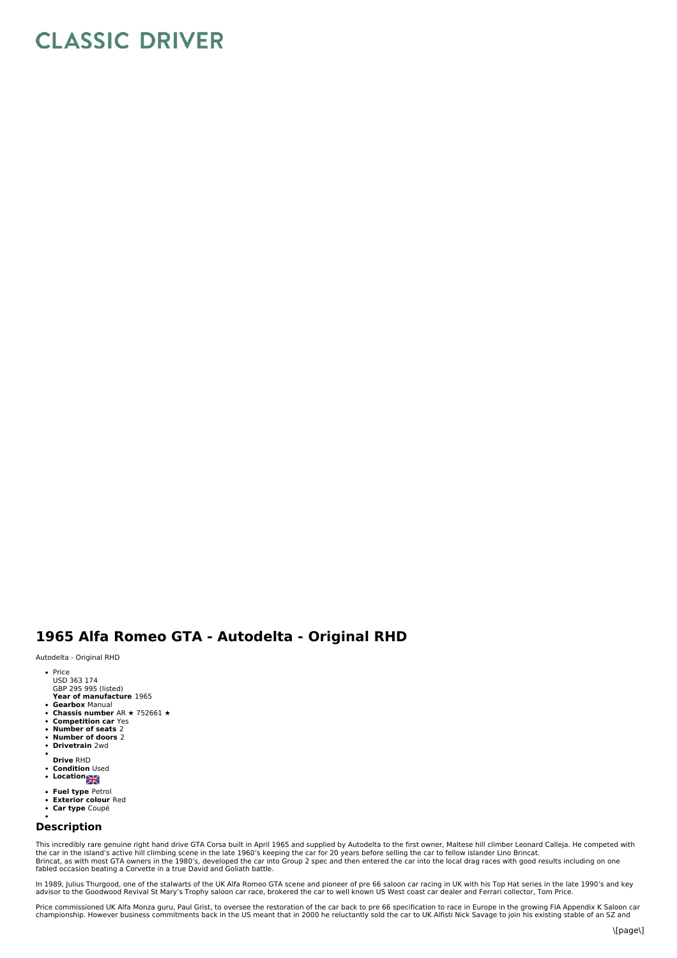# **CLASSIC DRIVER**

## **1965 Alfa Romeo GTA - Autodelta - Original RHD**

#### Autodelta - Original RHD

- Price
- USD 363 174 GBP 295 995 (listed)
- **Year of manufacture** 1965
- 
- **Gearbox** Manual **Chassis number** AR ★ 752661 ★
- $\ddot{\phantom{a}}$ **Competition car** Yes
- $\bullet$ **Number of seats** 2 **Number of doors** 2
- $\bullet$ **Drivetrain** 2wd
- 
- **Drive** RHD
- **Condition** Used **Location**
- 
- **Fuel type** Petrol
- $\bullet$ **Exterior colour** Red **Car type** Coupé
- 

### **Description**

This incredibly rare genuine right hand drive GTA Corsa built in April 1965 and supplied by Autodelta to the first owner, Maltese hill climber Leonard Calleja. He competed with<br>Brincat, as with most GTA owners in the late

In 1989, Julius Thurgood, one of the stalwarts of the UK Alfa Romeo GTA scene and pioneer of pre 66 saloon car racing in UK with his Top Hat series in the late 1990's and key<br>advisor to the Goodwood Revival St Mary's Troph

Price commissioned UK Alfa Monza guru, Paul Grist, to oversee the restoration of the car back to pre 66 specification to race in Europe in the growing FIA Appendix K Saloon car championship. However business commitments back in the US meant that in 2000 he reluctantly sold the car to UK Alfisti Nick Savage to join his existing stable of an SZ and